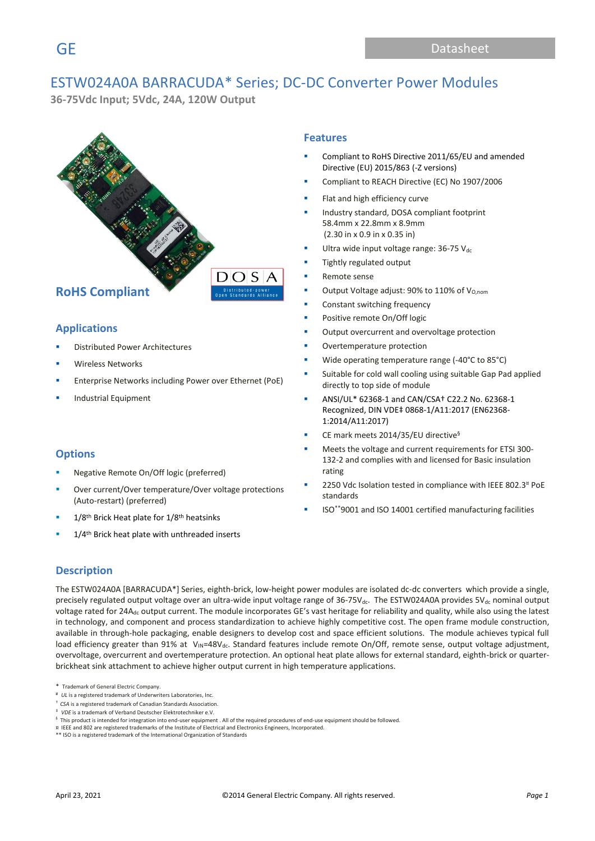# ESTW024A0A BARRACUDA\* Series; DC-DC Converter Power Modules

**36-75Vdc Input; 5Vdc, 24A, 120W Output** 



### **Applications**

- **Distributed Power Architectures**
- **Wireless Networks**
- Enterprise Networks including Power over Ethernet (PoE)
- **Industrial Equipment**

### **Options**

- Negative Remote On/Off logic (preferred)
- Over current/Over temperature/Over voltage protections (Auto-restart) (preferred)
- $1/8$ <sup>th</sup> Brick Heat plate for  $1/8$ <sup>th</sup> heatsinks
- 1/4<sup>th</sup> Brick heat plate with unthreaded inserts

### **Features**

- Compliant to RoHS Directive 2011/65/EU and amended Directive (EU) 2015/863 (-Z versions)
- Compliant to REACH Directive (EC) No 1907/2006
- Flat and high efficiency curve
- Industry standard, DOSA compliant footprint 58.4mm x 22.8mm x 8.9mm (2.30 in x 0.9 in x 0.35 in)
- Ultra wide input voltage range: 36-75  $V_{dc}$
- Tightly regulated output
- Remote sense
- Output Voltage adjust: 90% to 110% of  $V_{O,nom}$
- Constant switching frequency
- Positive remote On/Off logic
- Output overcurrent and overvoltage protection
- Overtemperature protection
- Wide operating temperature range (-40°C to 85°C)
- Suitable for cold wall cooling using suitable Gap Pad applied directly to top side of module
- ANSI/UL\* 62368-1 and CAN/CSA† C22.2 No. 62368-1 Recognized, DIN VDE‡ 0868-1/A11:2017 (EN62368- 1:2014/A11:2017)
- CE mark meets 2014/35/EU directive<sup>§</sup>
- Meets the voltage and current requirements for ETSI 300-132-2 and complies with and licensed for Basic insulation rating
- 2250 Vdc Isolation tested in compliance with IEEE 802.3<sup>¤</sup> PoE standards
- ISO\*\*9001 and ISO 14001 certified manufacturing facilities

### **Description**

The ESTW024A0A [BARRACUDA\*] Series, eighth-brick, low-height power modules are isolated dc-dc converters which provide a single, precisely regulated output voltage over an ultra-wide input voltage range of 36-75V<sub>dc</sub>. The ESTW024A0A provides 5V<sub>dc</sub> nominal output voltage rated for 24 $A_{dc}$  output current. The module incorporates GE's vast heritage for reliability and quality, while also using the latest in technology, and component and process standardization to achieve highly competitive cost. The open frame module construction, available in through-hole packaging, enable designers to develop cost and space efficient solutions. The module achieves typical full load efficiency greater than 91% at V<sub>IN</sub>=48V<sub>dc</sub>. Standard features include remote On/Off, remote sense, output voltage adjustment, overvoltage, overcurrent and overtemperature protection. An optional heat plate allows for external standard, eighth-brick or quarterbrickheat sink attachment to achieve higher output current in high temperature applications.

- # *UL* is a registered trademark of Underwriters Laboratories, Inc.
- † *CSA* is a registered trademark of Canadian Standards Association.
- ‡ *VDE* is a trademark of Verband Deutscher Elektrotechniker e.V.
- $§$  This product is intended for integration into end-user equipment . All of the required procedures of end-use equipment should be followed.
- ¤ IEEE and 802 are registered trademarks of the Institute of Electrical and Electronics Engineers, Incorporated. \*\* ISO is a registered trademark of the International Organization of Standards
- 

<sup>\*</sup> Trademark of General Electric Company.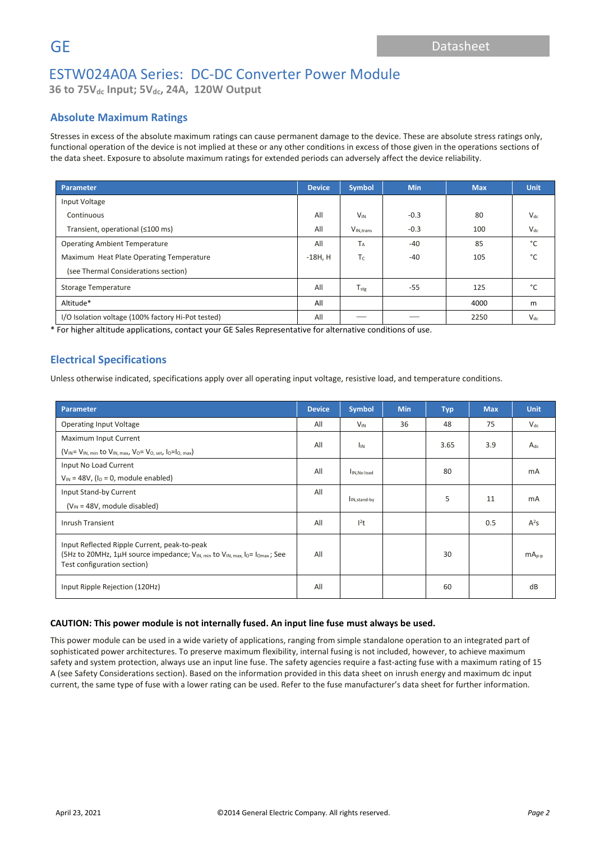**36 to 75Vdc Input; 5Vdc, 24A, 120W Output**

### **Absolute Maximum Ratings**

Stresses in excess of the absolute maximum ratings can cause permanent damage to the device. These are absolute stress ratings only, functional operation of the device is not implied at these or any other conditions in excess of those given in the operations sections of the data sheet. Exposure to absolute maximum ratings for extended periods can adversely affect the device reliability.

| <b>Parameter</b>                                   | <b>Device</b> | Symbol                | <b>Min</b> | <b>Max</b> | <b>Unit</b> |
|----------------------------------------------------|---------------|-----------------------|------------|------------|-------------|
| Input Voltage                                      |               |                       |            |            |             |
| Continuous                                         | All           | $V_{IN}$              | $-0.3$     | 80         | $V_{dc}$    |
| Transient, operational (≤100 ms)                   | All           | V <sub>IN.trans</sub> | $-0.3$     | 100        | $V_{dc}$    |
| <b>Operating Ambient Temperature</b>               |               | T <sub>A</sub>        | $-40$      | 85         | °€          |
| Maximum Heat Plate Operating Temperature           |               | $T_c$                 | $-40$      | 105        | °С          |
| (see Thermal Considerations section)               |               |                       |            |            |             |
| Storage Temperature                                |               | $T_{\text{stg}}$      | $-55$      | 125        | °€          |
| Altitude*                                          |               |                       |            | 4000       | m           |
| I/O Isolation voltage (100% factory Hi-Pot tested) | All           |                       |            | 2250       | $V_{dc}$    |

\* For higher altitude applications, contact your GE Sales Representative for alternative conditions of use.

### **Electrical Specifications**

Unless otherwise indicated, specifications apply over all operating input voltage, resistive load, and temperature conditions.

| Parameter                                                                                                                                                                                      |                       | <b>Symbol</b>             | <b>Min</b>  | <b>Typ</b> | <b>Max</b> | <b>Unit</b> |  |
|------------------------------------------------------------------------------------------------------------------------------------------------------------------------------------------------|-----------------------|---------------------------|-------------|------------|------------|-------------|--|
| <b>Operating Input Voltage</b>                                                                                                                                                                 | All                   | $V_{IN}$                  | 36          | 48         | 75         | $V_{dc}$    |  |
| Maximum Input Current                                                                                                                                                                          | All                   |                           |             | 3.65       | 3.9        |             |  |
| $(V_{IN} = V_{IN, min}$ to $V_{IN, max}$ , $V_0 = V_{O, set}$ , $I_0 = I_{O, max}$                                                                                                             | <b>I<sub>IN</sub></b> |                           |             |            |            | $A_{dc}$    |  |
| Input No Load Current                                                                                                                                                                          | All                   |                           |             | 80         |            | mA          |  |
| $V_{\text{IN}}$ = 48V, ( $I_0$ = 0, module enabled)                                                                                                                                            |                       |                           | IN, No load |            |            |             |  |
| Input Stand-by Current                                                                                                                                                                         |                       | I <sub>IN, stand-by</sub> |             | 5          | 11         | mA          |  |
| $(V_{IN} = 48V,$ module disabled)                                                                                                                                                              |                       |                           |             |            |            |             |  |
| Inrush Transient                                                                                                                                                                               |                       | $l^2t$                    |             |            | 0.5        | $A^2S$      |  |
| Input Reflected Ripple Current, peak-to-peak<br>(5Hz to 20MHz, 1µH source impedance; V <sub>IN, min</sub> to V <sub>IN, max</sub> , lo= lo <sub>max</sub> ; See<br>Test configuration section) |                       |                           |             | 30         |            | $mAp-p$     |  |
| Input Ripple Rejection (120Hz)                                                                                                                                                                 | All                   |                           |             | 60         |            | dB          |  |

### **CAUTION: This power module is not internally fused. An input line fuse must always be used.**

This power module can be used in a wide variety of applications, ranging from simple standalone operation to an integrated part of sophisticated power architectures. To preserve maximum flexibility, internal fusing is not included, however, to achieve maximum safety and system protection, always use an input line fuse. The safety agencies require a fast-acting fuse with a maximum rating of 15 A (see Safety Considerations section). Based on the information provided in this data sheet on inrush energy and maximum dc input current, the same type of fuse with a lower rating can be used. Refer to the fuse manufacturer's data sheet for further information.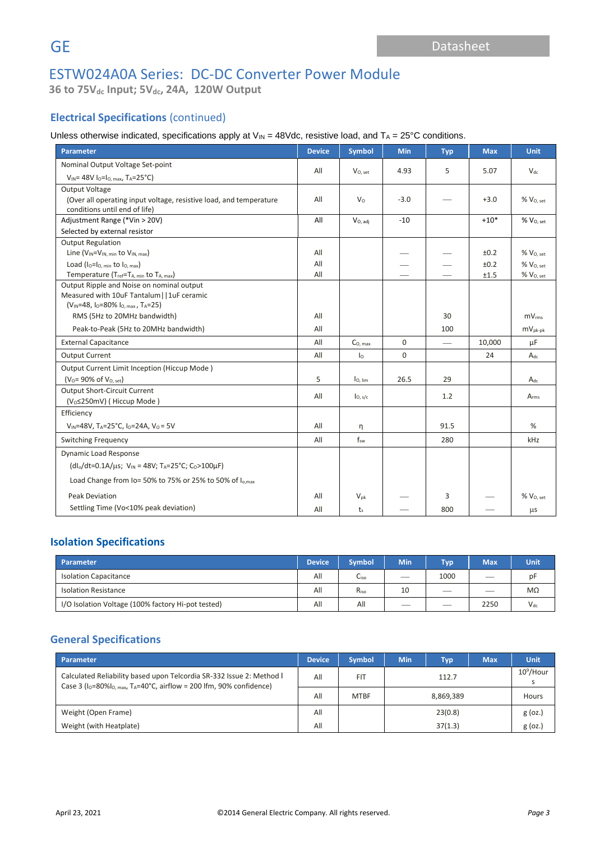**36 to 75Vdc Input; 5Vdc, 24A, 120W Output**

# **Electrical Specifications** (continued)

Unless otherwise indicated, specifications apply at  $V_{IN} = 48V$ dc, resistive load, and  $T_A = 25^{\circ}C$  conditions.

| <b>Parameter</b>                                                                 | <b>Device</b> | <b>Symbol</b>       | <b>Min</b>  | <b>Typ</b>      | <b>Max</b> | <b>Unit</b>           |
|----------------------------------------------------------------------------------|---------------|---------------------|-------------|-----------------|------------|-----------------------|
| Nominal Output Voltage Set-point                                                 | All           |                     | 4.93        | 5               | 5.07       | $V_{dc}$              |
| $V_{IN}$ = 48V lo=lo, max, TA=25°C)                                              |               | $V_{0.5}$ et        |             |                 |            |                       |
| <b>Output Voltage</b>                                                            |               |                     |             |                 |            |                       |
| (Over all operating input voltage, resistive load, and temperature               | All           | V <sub>0</sub>      | $-3.0$      |                 | $+3.0$     | %V <sub>0. set</sub>  |
| conditions until end of life)<br>Adjustment Range (*Vin > 20V)                   | All           | $V_{O, \, adj}$     | $-10$       |                 | $+10*$     | % V <sub>O, set</sub> |
| Selected by external resistor                                                    |               |                     |             |                 |            |                       |
| <b>Output Regulation</b>                                                         |               |                     |             |                 |            |                       |
| Line (V <sub>IN</sub> =V <sub>IN, min</sub> to V <sub>IN, max</sub> )            | All           |                     |             |                 | ±0.2       | $%$ $V0. set$         |
| Load $(I_0 = I_0$ , min to $I_0$ , max)                                          | All           |                     |             |                 | ±0.2       | $%$ $V0. set$         |
| Temperature $(T_{ref} = T_{A, min}$ to $T_{A, max}$ )                            | All           |                     |             |                 | ±1.5       | % V <sub>O, set</sub> |
| Output Ripple and Noise on nominal output                                        |               |                     |             |                 |            |                       |
| Measured with 10uF Tantalum     1uF ceramic                                      |               |                     |             |                 |            |                       |
| $(V_{IN} = 48, I_0 = 80\% I_{O, max}, T_A = 25)$<br>RMS (5Hz to 20MHz bandwidth) |               |                     |             | 30              |            | mV <sub>rms</sub>     |
|                                                                                  | All<br>All    |                     |             |                 |            |                       |
| Peak-to-Peak (5Hz to 20MHz bandwidth)                                            |               |                     |             | 100             |            | $mV_{pk-pk}$          |
| <b>External Capacitance</b>                                                      |               | $C_{O, max}$        | 0           | $\qquad \qquad$ | 10.000     | uF                    |
| <b>Output Current</b>                                                            | All           | I <sub>0</sub>      | $\mathbf 0$ |                 | 24         | $A_{dc}$              |
| Output Current Limit Inception (Hiccup Mode)                                     |               |                     |             |                 |            |                       |
| $(V_0 = 90\% \text{ of } V_{0. \text{ set}})$                                    | 5             | I <sub>O. lim</sub> | 26.5        | 29              |            | $A_{dc}$              |
| <b>Output Short-Circuit Current</b>                                              | All           | I <sub>O, s/c</sub> |             | 1.2             |            | A <sub>rms</sub>      |
| (V <sub>o</sub> ≤250mV) (Hiccup Mode)                                            |               |                     |             |                 |            |                       |
| Efficiency                                                                       | All           |                     |             |                 |            |                       |
| $V_{IN}$ =48V, T <sub>A</sub> =25°C, I <sub>0</sub> =24A, V <sub>0</sub> = 5V    |               | n                   |             | 91.5            |            | %                     |
| <b>Switching Frequency</b>                                                       |               | $f_{sw}$            |             | 280             |            | kHz                   |
| Dynamic Load Response                                                            |               |                     |             |                 |            |                       |
| $(dI_0/dt=0.1A/\mu s; V_{IN}=48V; T_A=25°C; C_0>100\mu F)$                       |               |                     |             |                 |            |                       |
| Load Change from Io= 50% to 75% or 25% to 50% of I <sub>o.max</sub>              |               |                     |             |                 |            |                       |
| <b>Peak Deviation</b>                                                            | All           | $V_{pk}$            |             | 3               |            | $%$ $V0. set$         |
| Settling Time (Vo<10% peak deviation)                                            | All           | $t_{s}$             |             | 800             |            | $\mu$ s               |

# **Isolation Specifications**

| Parameter                                          |  | <b>Symbol</b> | <b>Min</b> | Tvo  | <b>Max</b> | Unit     |
|----------------------------------------------------|--|---------------|------------|------|------------|----------|
| <b>Isolation Capacitance</b>                       |  | Liso          | __         | 1000 | ___        | pF       |
| <b>Isolation Resistance</b>                        |  | $R_{iso}$     | 10         | __   | _          | MΩ       |
| I/O Isolation Voltage (100% factory Hi-pot tested) |  | All           | __         | _    | 2250       | $V_{dc}$ |

# **General Specifications**

| Parameter                                                                                                                                                            |  | <b>Symbol</b> | <b>Min</b> | <b>Typ</b> | <b>Max</b> | Unit         |
|----------------------------------------------------------------------------------------------------------------------------------------------------------------------|--|---------------|------------|------------|------------|--------------|
| Calculated Reliability based upon Telcordia SR-332 Issue 2: Method I<br>Case 3 ( $I_0$ =80% $I_0$ , $max$ , T <sub>A</sub> =40°C, airflow = 200 lfm, 90% confidence) |  | <b>FIT</b>    | 112.7      |            |            | $10^9$ /Hour |
|                                                                                                                                                                      |  | <b>MTBF</b>   | 8,869,389  |            |            | Hours        |
| Weight (Open Frame)                                                                                                                                                  |  |               | 23(0.8)    |            |            | $g$ (oz.)    |
| Weight (with Heatplate)                                                                                                                                              |  |               |            | 37(1.3)    |            | $g$ (oz.)    |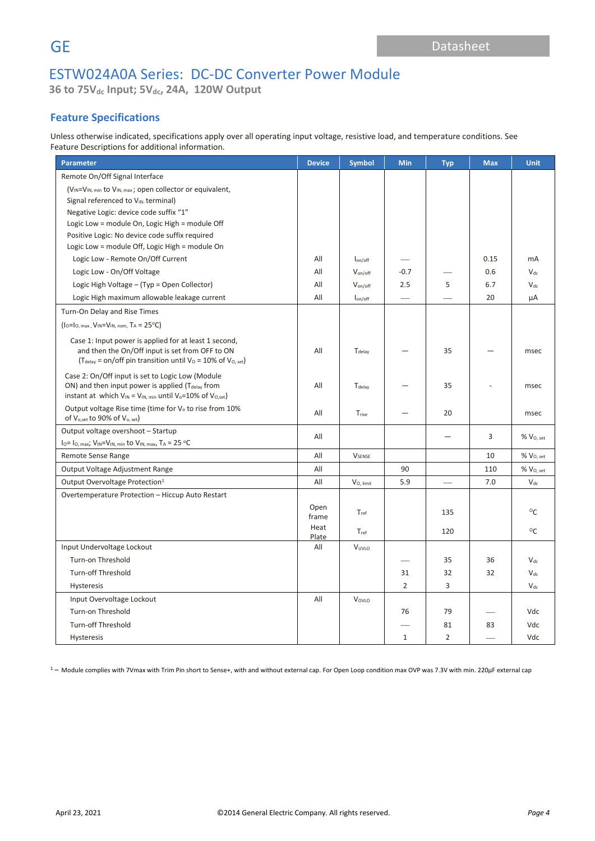**36 to 75Vdc Input; 5Vdc, 24A, 120W Output**

## **Feature Specifications**

Unless otherwise indicated, specifications apply over all operating input voltage, resistive load, and temperature conditions. See Feature Descriptions for additional information.

| <b>Parameter</b>                                                                                                                                                                               | <b>Device</b> | <b>Symbol</b>                | <b>Min</b>     | <b>Typ</b>     | <b>Max</b> | <b>Unit</b>                |
|------------------------------------------------------------------------------------------------------------------------------------------------------------------------------------------------|---------------|------------------------------|----------------|----------------|------------|----------------------------|
| Remote On/Off Signal Interface                                                                                                                                                                 |               |                              |                |                |            |                            |
| (V <sub>IN</sub> =V <sub>IN, min</sub> to V <sub>IN, max</sub> ; open collector or equivalent,                                                                                                 |               |                              |                |                |            |                            |
| Signal referenced to VIN-terminal)                                                                                                                                                             |               |                              |                |                |            |                            |
| Negative Logic: device code suffix "1"                                                                                                                                                         |               |                              |                |                |            |                            |
| Logic Low = module On, Logic High = module Off                                                                                                                                                 |               |                              |                |                |            |                            |
| Positive Logic: No device code suffix required                                                                                                                                                 |               |                              |                |                |            |                            |
| Logic Low = module Off, Logic High = module On                                                                                                                                                 |               |                              |                |                |            |                            |
| Logic Low - Remote On/Off Current                                                                                                                                                              | All           | $I_{on/off}$                 |                |                | 0.15       | <b>mA</b>                  |
| Logic Low - On/Off Voltage                                                                                                                                                                     | All           | $V_{\text{on/off}}$          | $-0.7$         |                | 0.6        | $V_{dc}$                   |
| Logic High Voltage - (Typ = Open Collector)                                                                                                                                                    | All           | $V_{on/off}$                 | 2.5            | 5              | 6.7        | $V_{dc}$                   |
| Logic High maximum allowable leakage current                                                                                                                                                   | All           | $I_{on/off}$                 |                |                | 20         | μA                         |
| Turn-On Delay and Rise Times                                                                                                                                                                   |               |                              |                |                |            |                            |
| $(I_0 = I_0$ , max, $V_{IN} = V_{IN}$ , nom, $T_A = 25$ °C)                                                                                                                                    |               |                              |                |                |            |                            |
| Case 1: Input power is applied for at least 1 second,<br>and then the On/Off input is set from OFF to ON<br>( $T_{delay}$ = on/off pin transition until $V_0$ = 10% of $V_{O, set}$ )          |               | $T_{\text{delay}}$           |                | 35             |            | msec                       |
| Case 2: On/Off input is set to Logic Low (Module<br>ON) and then input power is applied (T <sub>delay</sub> from<br>instant at which $V_{IN} = V_{IN, min}$ until $V_o = 10\%$ of $V_{O, set}$ | All           | Tdelay                       |                | 35             |            | msec                       |
| Output voltage Rise time (time for V <sub>o</sub> to rise from 10%<br>of V <sub>o, set</sub> to 90% of V <sub>o, set</sub> )                                                                   |               | $\mathsf{T}_{\mathsf{rise}}$ |                | 20             |            | msec                       |
| Output voltage overshoot - Startup                                                                                                                                                             | All           |                              |                |                | 3          | % V <sub>O, set</sub>      |
| $I_0 = I_{0, max}$ ; $V_{IN} = V_{IN, min}$ to $V_{IN, max}$ , $T_A = 25$ °C                                                                                                                   |               |                              |                |                |            |                            |
| Remote Sense Range                                                                                                                                                                             | All           | <b>V</b> SENSE               |                |                | 10         | % V <sub>O, set</sub>      |
| Output Voltage Adjustment Range                                                                                                                                                                | All           |                              | 90             |                | 110        | % V <sub>O, set</sub>      |
| Output Overvoltage Protection <sup>1</sup>                                                                                                                                                     | All           | $V_{0, \, limit}$            | 5.9            |                | 7.0        | $\mathsf{V}_{\mathsf{dc}}$ |
| Overtemperature Protection - Hiccup Auto Restart                                                                                                                                               |               |                              |                |                |            |                            |
|                                                                                                                                                                                                | Open<br>frame | $T_{ref}$                    |                | 135            |            | °C                         |
|                                                                                                                                                                                                | Heat<br>Plate | $T_{ref}$                    |                | 120            |            | $^{\circ}$ C               |
| Input Undervoltage Lockout                                                                                                                                                                     | All           | VUVLO                        |                |                |            |                            |
| Turn-on Threshold                                                                                                                                                                              |               |                              |                | 35             | 36         | $V_{dc}$                   |
| <b>Turn-off Threshold</b>                                                                                                                                                                      |               |                              | 31             | 32             | 32         | $V_{dc}$                   |
| Hysteresis                                                                                                                                                                                     |               |                              | $\overline{2}$ | 3              |            | $V_{dc}$                   |
| Input Overvoltage Lockout                                                                                                                                                                      |               | VOVLO                        |                |                |            |                            |
| Turn-on Threshold                                                                                                                                                                              |               |                              | 76             | 79             |            | Vdc                        |
| <b>Turn-off Threshold</b>                                                                                                                                                                      |               |                              |                | 81             | 83         | Vdc                        |
| <b>Hysteresis</b>                                                                                                                                                                              |               |                              | $\mathbf{1}$   | $\overline{2}$ |            | Vdc                        |

 $1 -$  Module complies with 7Vmax with Trim Pin short to Sense+, with and without external cap. For Open Loop condition max OVP was 7.3V with min. 220µF external cap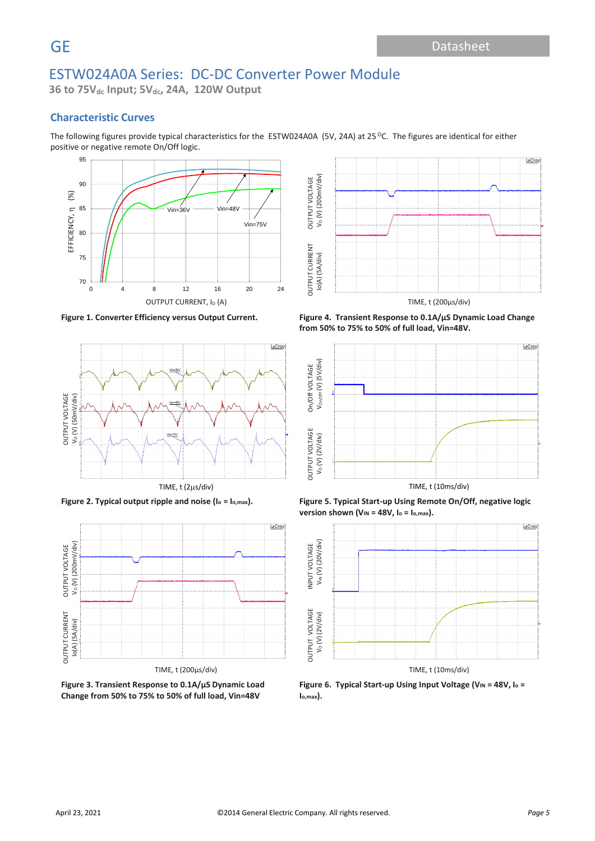**36 to 75Vdc Input; 5Vdc, 24A, 120W Output**

### **Characteristic Curves**

The following figures provide typical characteristics for the ESTW024A0A (5V, 24A) at 25 °C. The figures are identical for either positive or negative remote On/Off logic.







**Figure 3. Transient Response to 0.1A/µS Dynamic Load Change from 50% to 75% to 50% of full load, Vin=48V**



**Figure 1. Converter Efficiency versus Output Current. Figure 4. Transient Response to 0.1A/µS Dynamic Load Change from 50% to 75% to 50% of full load, Vin=48V.**



Figure 2. Typical output ripple and noise (I<sub>o</sub> = I<sub>o,max</sub>). Figure 5. Typical Start-up Using Remote On/Off, negative logic **version shown (VIN = 48V, I<sup>o</sup> = Io,max).**



**Figure 6. Typical Start-up Using Input Voltage (V<sub>IN</sub> = 48V, I<sub>0</sub> = Io,max).**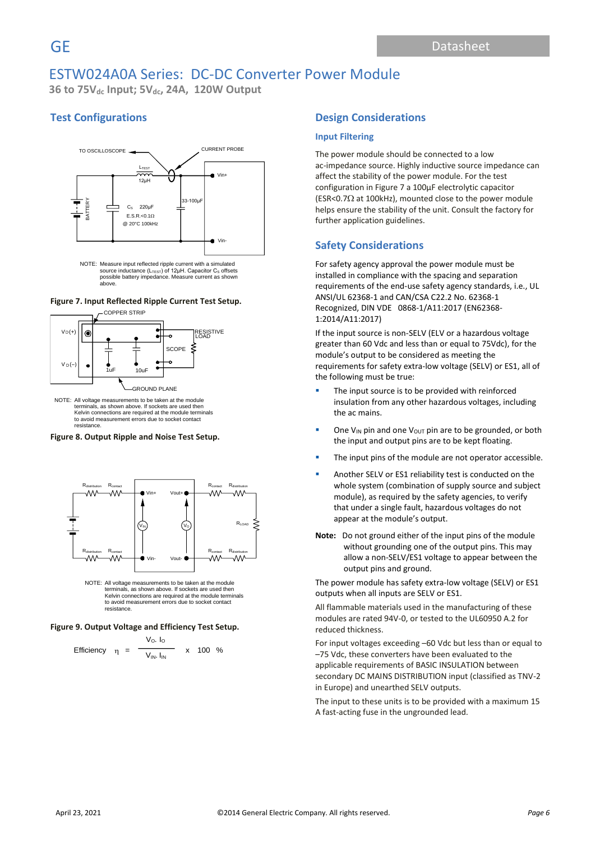**36 to 75Vdc Input; 5Vdc, 24A, 120W Output**

## **Test Configurations**



source inductance (L<sub>TEST</sub>) of 12μH. Capacitor C<sub>s</sub> offsets<br>possible battery impedance. Measure current as shown above.

#### **Figure 7. Input Reflected Ripple Current Test Setup.**



NOTE: All voltage measurements to be taken at the module terminals, as shown above. If sockets are used then Kelvin connections are required at the module terminals to avoid measurement errors due to socket contact resistance.

#### **Figure 8. Output Ripple and Noise Test Setup.**



NOTE: All voltage measurements to be taken at the module terminals, as shown above. If sockets are used then Kelvin connections are required at the module terminals to avoid measurement errors due to socket contact resistance.

#### **Figure 9. Output Voltage and Efficiency Test Setup.**

Efficiency 
$$
\eta = \frac{V_O. I_O}{V_{IN.} I_{IN}}
$$
 x 100 %

### **Design Considerations**

### **Input Filtering**

The power module should be connected to a low ac-impedance source. Highly inductive source impedance can affect the stability of the power module. For the test configuration in Figure 7 a 100μF electrolytic capacitor (ESR<0.7 $\Omega$  at 100kHz), mounted close to the power module helps ensure the stability of the unit. Consult the factory for further application guidelines.

### **Safety Considerations**

For safety agency approval the power module must be installed in compliance with the spacing and separation requirements of the end-use safety agency standards, i.e., UL ANSI/UL 62368-1 and CAN/CSA C22.2 No. 62368-1 Recognized, DIN VDE 0868-1/A11:2017 (EN62368- 1:2014/A11:2017)

If the input source is non-SELV (ELV or a hazardous voltage greater than 60 Vdc and less than or equal to 75Vdc), for the module's output to be considered as meeting the requirements for safety extra-low voltage (SELV) or ES1, all of the following must be true:

- The input source is to be provided with reinforced insulation from any other hazardous voltages, including the ac mains.
- **•** One V<sub>IN</sub> pin and one V<sub>OUT</sub> pin are to be grounded, or both the input and output pins are to be kept floating.
- The input pins of the module are not operator accessible.
- Another SELV or ES1 reliability test is conducted on the whole system (combination of supply source and subject module), as required by the safety agencies, to verify that under a single fault, hazardous voltages do not appear at the module's output.
- **Note:** Do not ground either of the input pins of the module without grounding one of the output pins. This may allow a non-SELV/ES1 voltage to appear between the output pins and ground.

The power module has safety extra-low voltage (SELV) or ES1 outputs when all inputs are SELV or ES1.

All flammable materials used in the manufacturing of these modules are rated 94V-0, or tested to the UL60950 A.2 for reduced thickness.

For input voltages exceeding –60 Vdc but less than or equal to –75 Vdc, these converters have been evaluated to the applicable requirements of BASIC INSULATION between secondary DC MAINS DISTRIBUTION input (classified as TNV-2 in Europe) and unearthed SELV outputs.

The input to these units is to be provided with a maximum 15 A fast-acting fuse in the ungrounded lead.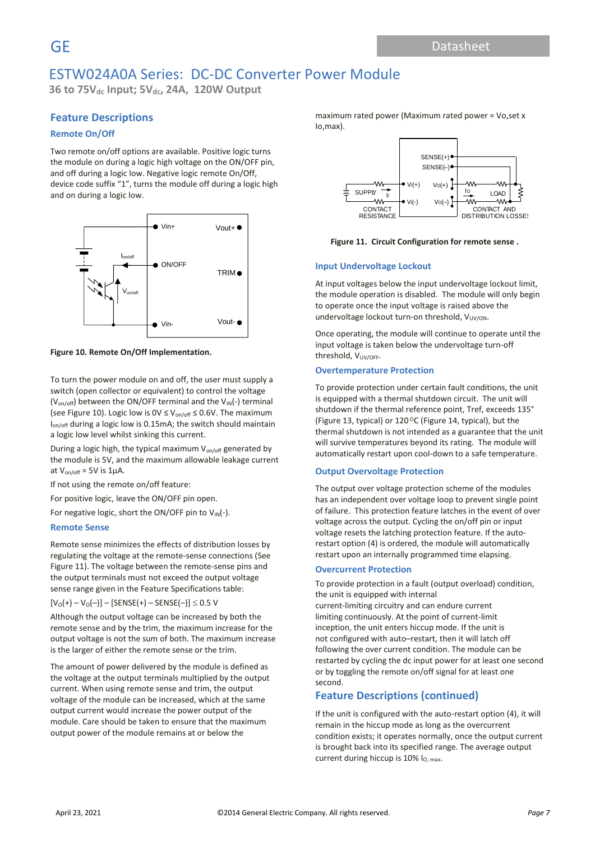**36 to 75Vdc Input; 5Vdc, 24A, 120W Output**

### **Feature Descriptions**

### **Remote On/Off**

Two remote on/off options are available. Positive logic turns the module on during a logic high voltage on the ON/OFF pin, and off during a logic low. Negative logic remote On/Off, device code suffix "1", turns the module off during a logic high and on during a logic low.



**Figure 10. Remote On/Off Implementation.**

To turn the power module on and off, the user must supply a switch (open collector or equivalent) to control the voltage ( $V_{on/off}$ ) between the ON/OFF terminal and the  $V_{IN}(-)$  terminal (see Figure 10). Logic low is  $0 \vee \leq V_{on/off} \leq 0.6 V$ . The maximum Ion/off during a logic low is 0.15mA; the switch should maintain a logic low level whilst sinking this current.

During a logic high, the typical maximum  $V_{on/off}$  generated by the module is 5V, and the maximum allowable leakage current at  $V_{on/off}$  = 5V is 1µA.

If not using the remote on/off feature:

For positive logic, leave the ON/OFF pin open.

For negative logic, short the ON/OFF pin to  $V_{IN}(-)$ .

### **Remote Sense**

Remote sense minimizes the effects of distribution losses by regulating the voltage at the remote-sense connections (See Figure 11). The voltage between the remote-sense pins and the output terminals must not exceed the output voltage sense range given in the Feature Specifications table:

 $[V<sub>O</sub>(+) - V<sub>O</sub>(-) ] - [SENSE(+) - SENSE(-)] \le 0.5$  V

Although the output voltage can be increased by both the remote sense and by the trim, the maximum increase for the output voltage is not the sum of both. The maximum increase is the larger of either the remote sense or the trim.

The amount of power delivered by the module is defined as the voltage at the output terminals multiplied by the output current. When using remote sense and trim, the output voltage of the module can be increased, which at the same output current would increase the power output of the module. Care should be taken to ensure that the maximum output power of the module remains at or below the

maximum rated power (Maximum rated power = Vo,set x Io,max).



**Figure 11. Circuit Configuration for remote sense .**

### **Input Undervoltage Lockout**

At input voltages below the input undervoltage lockout limit, the module operation is disabled. The module will only begin to operate once the input voltage is raised above the undervoltage lockout turn-on threshold, V<sub>UV/ON</sub>.

Once operating, the module will continue to operate until the input voltage is taken below the undervoltage turn-off threshold, V<sub>UV/OFF</sub>.

#### **Overtemperature Protection**

To provide protection under certain fault conditions, the unit is equipped with a thermal shutdown circuit. The unit will shutdown if the thermal reference point, Tref, exceeds 135° (Figure 13, typical) or 120 °C (Figure 14, typical), but the thermal shutdown is not intended as a guarantee that the unit will survive temperatures beyond its rating. The module will automatically restart upon cool-down to a safe temperature.

### **Output Overvoltage Protection**

The output over voltage protection scheme of the modules has an independent over voltage loop to prevent single point of failure. This protection feature latches in the event of over voltage across the output. Cycling the on/off pin or input voltage resets the latching protection feature. If the autorestart option (4) is ordered, the module will automatically restart upon an internally programmed time elapsing.

### **Overcurrent Protection**

To provide protection in a fault (output overload) condition, the unit is equipped with internal current-limiting circuitry and can endure current

limiting continuously. At the point of current-limit inception, the unit enters hiccup mode. If the unit is not configured with auto–restart, then it will latch off following the over current condition. The module can be restarted by cycling the dc input power for at least one second or by toggling the remote on/off signal for at least one second.

### **Feature Descriptions (continued)**

If the unit is configured with the auto-restart option (4), it will remain in the hiccup mode as long as the overcurrent condition exists; it operates normally, once the output current is brought back into its specified range. The average output current during hiccup is  $10\%$  I<sub>O, max</sub>.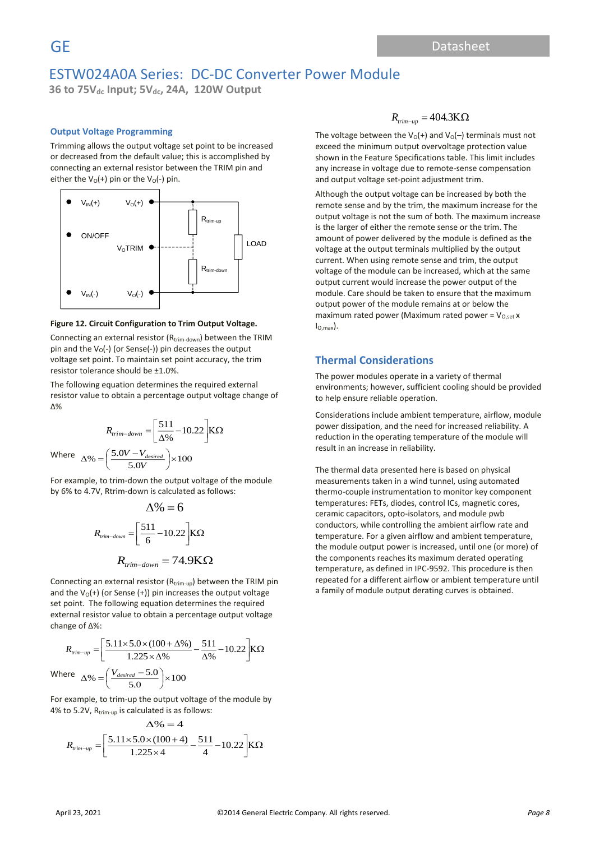# **GE** Datasheet Datasheet Datasheet Datasheet Datasheet Datasheet Datasheet Datasheet Datasheet Datasheet Datasheet Datasheet Datasheet Datasheet Datasheet Datasheet Datasheet Datasheet Datasheet Datasheet Datasheet Datashe ESTW024A0A Series: DC-DC Converter Power Module

**36 to 75Vdc Input; 5Vdc, 24A, 120W Output**

### **Output Voltage Programming**

Trimming allows the output voltage set point to be increased or decreased from the default value; this is accomplished by connecting an external resistor between the TRIM pin and either the  $V_0(+)$  pin or the  $V_0(-)$  pin.



#### **Figure 12. Circuit Configuration to Trim Output Voltage.**

Connecting an external resistor (R<sub>trim-down</sub>) between the TRIM pin and the  $V_0$ (-) (or Sense(-)) pin decreases the output voltage set point. To maintain set point accuracy, the trim resistor tolerance should be ±1.0%.

The following equation determines the required external resistor value to obtain a percentage output voltage change of Δ%

$$
R_{trim-down} = \left[\frac{511}{\Delta\%} - 10.22\right] K\Omega
$$
  
Where 
$$
\Delta\% = \left(\frac{5.0V - V_{desired}}{5.0V}\right) \times 100
$$

For example, to trim-down the output voltage of the module by 6% to 4.7V, Rtrim-down is calculated as follows:

$$
\Delta\% = 6
$$
  

$$
R_{\text{rim-down}} = \left[\frac{511}{6} - 10.22\right] K\Omega
$$
  

$$
R_{\text{trim-down}} = 74.9 K\Omega
$$

Connecting an external resistor  $(R_{trim-up})$  between the TRIM pin and the  $V_0(+)$  (or Sense (+)) pin increases the output voltage set point. The following equation determines the required external resistor value to obtain a percentage output voltage change of Δ%:

$$
R_{\text{trim-up}} = \left[\frac{5.11 \times 5.0 \times (100 + \Delta\%)}{1.225 \times \Delta\%} - \frac{511}{\Delta\%} - 10.22\right] K\Omega
$$
  
Where  $\Delta\% = \left(\frac{V_{desired} - 5.0}{5.0}\right) \times 100$ 

For example, to trim-up the output voltage of the module by 4% to 5.2V,  $R_{\text{trim-up}}$  is calculated is as follows:

$$
\Delta\% = 4
$$
  

$$
R_{\text{rrim-up}} = \left[\frac{5.11 \times 5.0 \times (100 + 4)}{1.225 \times 4} - \frac{511}{4} - 10.22\right] K\Omega
$$

$$
R_{\text{trim}-\mu\text{p}} = 404.3\text{K}\Omega
$$

The voltage between the  $V_0(+)$  and  $V_0(-)$  terminals must not exceed the minimum output overvoltage protection value shown in the Feature Specifications table. This limit includes any increase in voltage due to remote-sense compensation and output voltage set-point adjustment trim.

Although the output voltage can be increased by both the remote sense and by the trim, the maximum increase for the output voltage is not the sum of both. The maximum increase is the larger of either the remote sense or the trim. The amount of power delivered by the module is defined as the voltage at the output terminals multiplied by the output current. When using remote sense and trim, the output voltage of the module can be increased, which at the same output current would increase the power output of the module. Care should be taken to ensure that the maximum output power of the module remains at or below the maximum rated power (Maximum rated power =  $V_{O,set}$  x  $I_{O,\text{max}}$ .

### **Thermal Considerations**

The power modules operate in a variety of thermal environments; however, sufficient cooling should be provided to help ensure reliable operation.

Considerations include ambient temperature, airflow, module power dissipation, and the need for increased reliability. A reduction in the operating temperature of the module will result in an increase in reliability.

The thermal data presented here is based on physical measurements taken in a wind tunnel, using automated thermo-couple instrumentation to monitor key component temperatures: FETs, diodes, control ICs, magnetic cores, ceramic capacitors, opto-isolators, and module pwb conductors, while controlling the ambient airflow rate and temperature. For a given airflow and ambient temperature, the module output power is increased, until one (or more) of the components reaches its maximum derated operating temperature, as defined in IPC-9592. This procedure is then repeated for a different airflow or ambient temperature until a family of module output derating curves is obtained.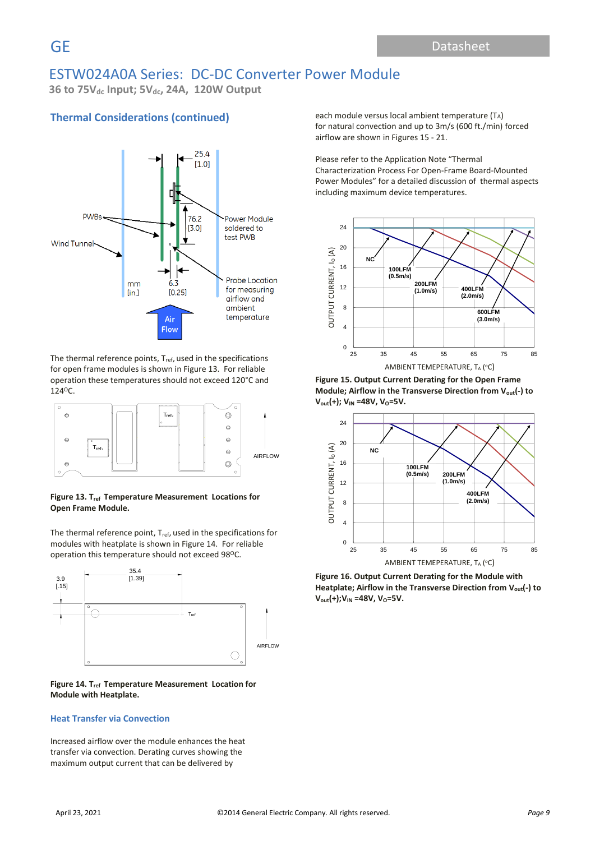**36 to 75Vdc Input; 5Vdc, 24A, 120W Output**

## **Thermal Considerations (continued)**



The thermal reference points, T<sub>ref</sub>, used in the specifications for open frame modules is shown in Figure 13. For reliable operation these temperatures should not exceed 120°C and 124<sup>O</sup>C.



Figure 13. T<sub>ref</sub> Temperature Measurement Locations for **Open Frame Module.** ure 13. T<sub>ref</sub> Tempe

The thermal reference point,  $T_{ref}$ , used in the specifications for modules with heatplate is shown in Figure 14. For reliable operation this temperature should not exceed 98°C.



Figure 14. T<sub>ref</sub> Temperature Measurement Location for **Module with Heatplate.**

### **Heat Transfer via Convection**

Increased airflow over the module enhances the heat transfer via convection. Derating curves showing the maximum output current that can be delivered by

each module versus local ambient temperature (TA) for natural convection and up to 3m/s (600 ft./min) forced airflow are shown in Figures 15 - 21.

Please refer to the Application Note "Thermal Characterization Process For Open-Frame Board-Mounted Power Modules" for a detailed discussion of thermal aspects including maximum device temperatures.



**Figure 15. Output Current Derating for the Open Frame Module; Airflow in the Transverse Direction from Vout(-) to V**<sub>out</sub>(+); **V**<sub>IN</sub> =48V, **V**<sub>O</sub>=5V.



**Figure 16. Output Current Derating for the Module with Heatplate; Airflow in the Transverse Direction from Vout(-) to V**<sub>out</sub>(+); **V**<sub>IN</sub> =48V, **V**<sub>O</sub>=5V.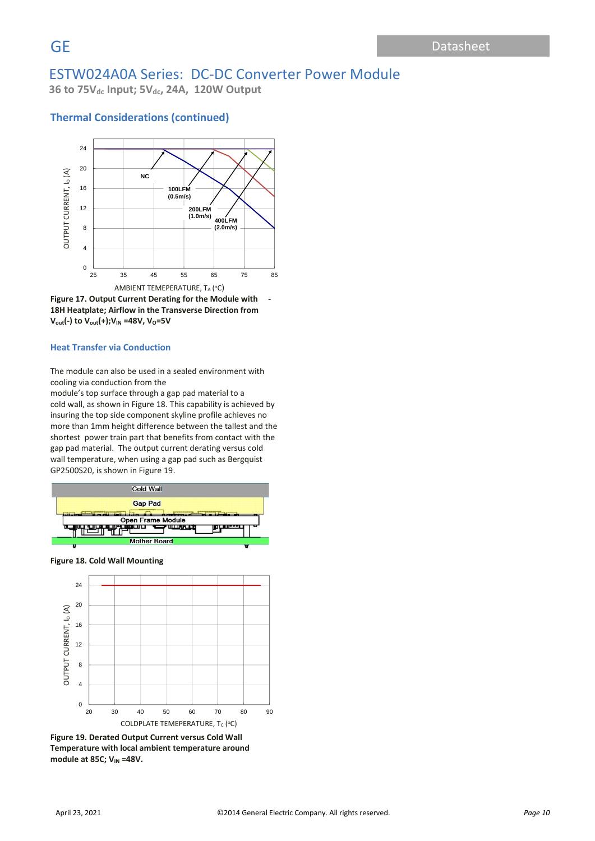**36 to 75Vdc Input; 5Vdc, 24A, 120W Output**

### **Thermal Considerations (continued)**





### **Heat Transfer via Conduction**

The module can also be used in a sealed environment with cooling via conduction from the

module's top surface through a gap pad material to a cold wall, as shown in Figure 18. This capability is achieved by insuring the top side component skyline profile achieves no more than 1mm height difference between the tallest and the shortest power train part that benefits from contact with the gap pad material. The output current derating versus cold wall temperature, when using a gap pad such as Bergquist GP2500S20, is shown in Figure 19.



**Figure 18. Cold Wall Mounting**



**Figure 19. Derated Output Current versus Cold Wall Temperature with local ambient temperature around module at 85C; V<sub>IN</sub> =48V.**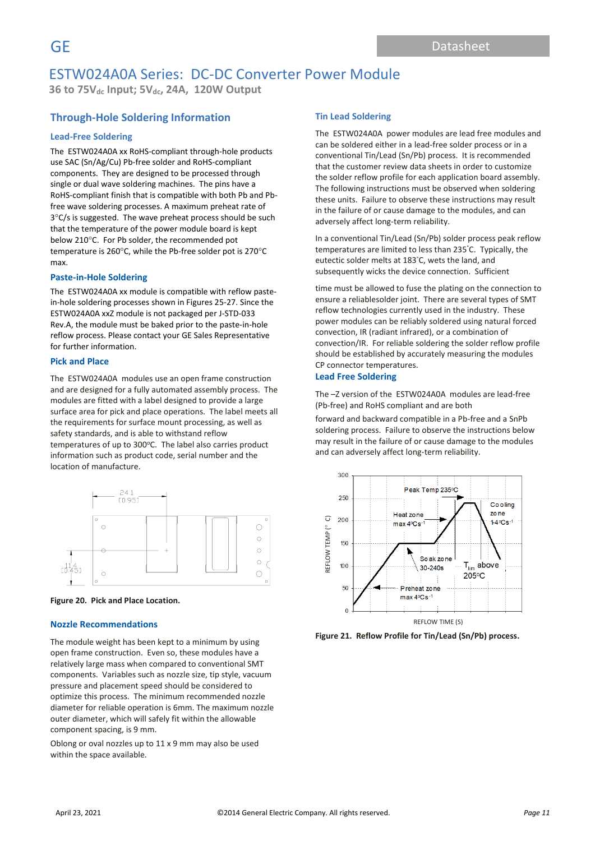**36 to 75Vdc Input; 5Vdc, 24A, 120W Output**

## **Through-Hole Soldering Information**

### **Lead-Free Soldering**

The ESTW024A0A xx RoHS-compliant through-hole products use SAC (Sn/Ag/Cu) Pb-free solder and RoHS-compliant components. They are designed to be processed through single or dual wave soldering machines. The pins have a RoHS-compliant finish that is compatible with both Pb and Pbfree wave soldering processes. A maximum preheat rate of  $3^{\circ}$ C/s is suggested. The wave preheat process should be such that the temperature of the power module board is kept below 210°C. For Pb solder, the recommended pot temperature is 260 $\degree$ C, while the Pb-free solder pot is 270 $\degree$ C max.

### **Paste-in-Hole Soldering**

The ESTW024A0A xx module is compatible with reflow pastein-hole soldering processes shown in Figures 25-27. Since the ESTW024A0A xxZ module is not packaged per J-STD-033 Rev.A, the module must be baked prior to the paste-in-hole reflow process. Please contact your GE Sales Representative for further information.

### **Pick and Place**

The ESTW024A0A modules use an open frame construction and are designed for a fully automated assembly process. The modules are fitted with a label designed to provide a large surface area for pick and place operations. The label meets all the requirements for surface mount processing, as well as safety standards, and is able to withstand reflow temperatures of up to 300°C. The label also carries product information such as product code, serial number and the location of manufacture.





### **Nozzle Recommendations**

The module weight has been kept to a minimum by using open frame construction. Even so, these modules have a relatively large mass when compared to conventional SMT components. Variables such as nozzle size, tip style, vacuum pressure and placement speed should be considered to optimize this process. The minimum recommended nozzle diameter for reliable operation is 6mm. The maximum nozzle outer diameter, which will safely fit within the allowable component spacing, is 9 mm.

Oblong or oval nozzles up to 11 x 9 mm may also be used within the space available.

### **Tin Lead Soldering**

The ESTW024A0A power modules are lead free modules and can be soldered either in a lead-free solder process or in a conventional Tin/Lead (Sn/Pb) process. It is recommended that the customer review data sheets in order to customize the solder reflow profile for each application board assembly. The following instructions must be observed when soldering these units. Failure to observe these instructions may result in the failure of or cause damage to the modules, and can adversely affect long-term reliability.

In a conventional Tin/Lead (Sn/Pb) solder process peak reflow temperatures are limited to less than 235°C. Typically, the eutectic solder melts at 183°C, wets the land, and subsequently wicks the device connection. Sufficient

time must be allowed to fuse the plating on the connection to ensure a reliablesolder joint. There are several types of SMT reflow technologies currently used in the industry. These power modules can be reliably soldered using natural forced convection, IR (radiant infrared), or a combination of convection/IR. For reliable soldering the solder reflow profile should be established by accurately measuring the modules CP connector temperatures.

### **Lead Free Soldering**

The –Z version of the ESTW024A0A modules are lead-free (Pb-free) and RoHS compliant and are both

forward and backward compatible in a Pb-free and a SnPb soldering process. Failure to observe the instructions below may result in the failure of or cause damage to the modules and can adversely affect long-term reliability.



**Figure 21. Reflow Profile for Tin/Lead (Sn/Pb) process.**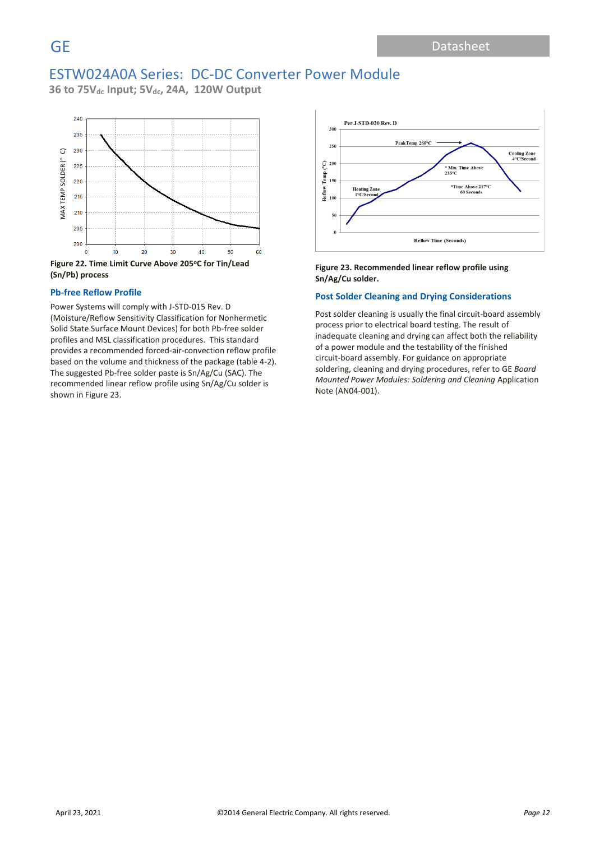**36 to 75Vdc Input; 5Vdc, 24A, 120W Output**



**(Sn/Pb) process**

### **Pb-free Reflow Profile**

Power Systems will comply with J-STD-015 Rev. D (Moisture/Reflow Sensitivity Classification for Nonhermetic Solid State Surface Mount Devices) for both Pb-free solder profiles and MSL classification procedures. This standard provides a recommended forced-air-convection reflow profile based on the volume and thickness of the package (table 4-2). The suggested Pb-free solder paste is Sn/Ag/Cu (SAC). The recommended linear reflow profile using Sn/Ag/Cu solder is shown in Figure 23.



### **Figure 23. Recommended linear reflow profile using Sn/Ag/Cu solder.**

### **Post Solder Cleaning and Drying Considerations**

Post solder cleaning is usually the final circuit-board assembly process prior to electrical board testing. The result of inadequate cleaning and drying can affect both the reliability of a power module and the testability of the finished circuit-board assembly. For guidance on appropriate soldering, cleaning and drying procedures, refer to GE *Board Mounted Power Modules: Soldering and Cleaning* Application Note (AN04-001).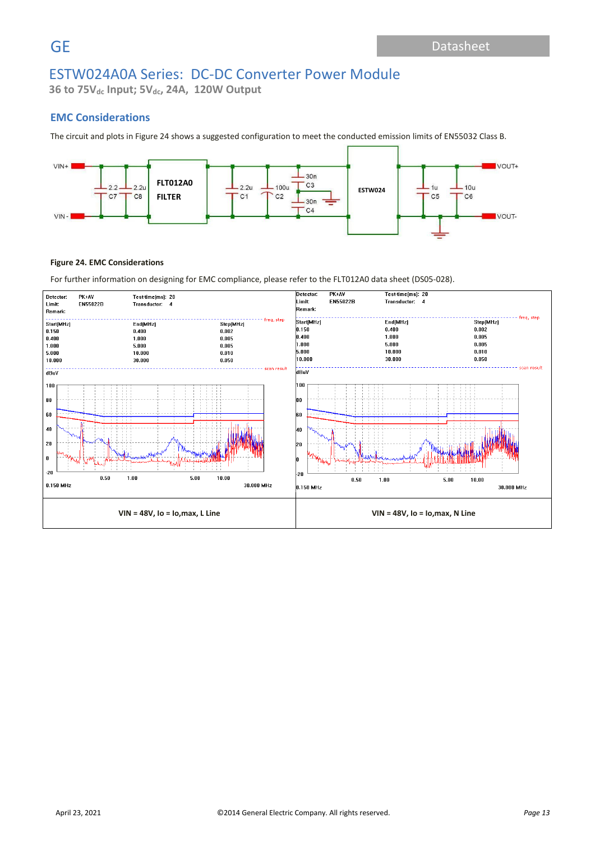**36 to 75Vdc Input; 5Vdc, 24A, 120W Output**

### **EMC Considerations**

The circuit and plots in Figure 24 shows a suggested configuration to meet the conducted emission limits of EN55032 Class B.



### **Figure 24. EMC Considerations**

For further information on designing for EMC compliance, please refer to the FLT012A0 data sheet (DS05-028).

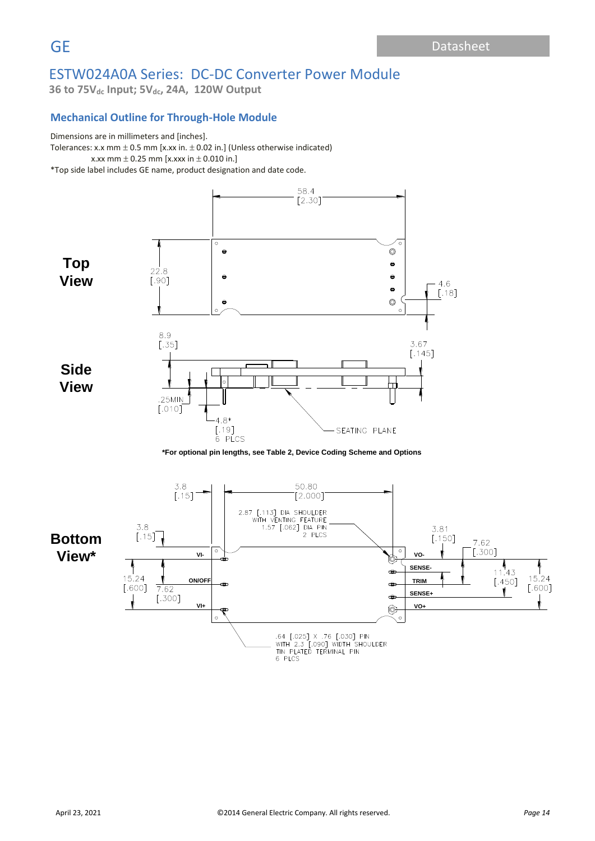**36 to 75Vdc Input; 5Vdc, 24A, 120W Output**

## **Mechanical Outline for Through-Hole Module**

# Dimensions are in millimeters and [inches].

Tolerances: x.x mm  $\pm$  0.5 mm [x.xx in.  $\pm$  0.02 in.] (Unless otherwise indicated) x.xx mm  $\pm$  0.25 mm [x.xxx in  $\pm$  0.010 in.] \*Top side label includes GE name, product designation and date code.

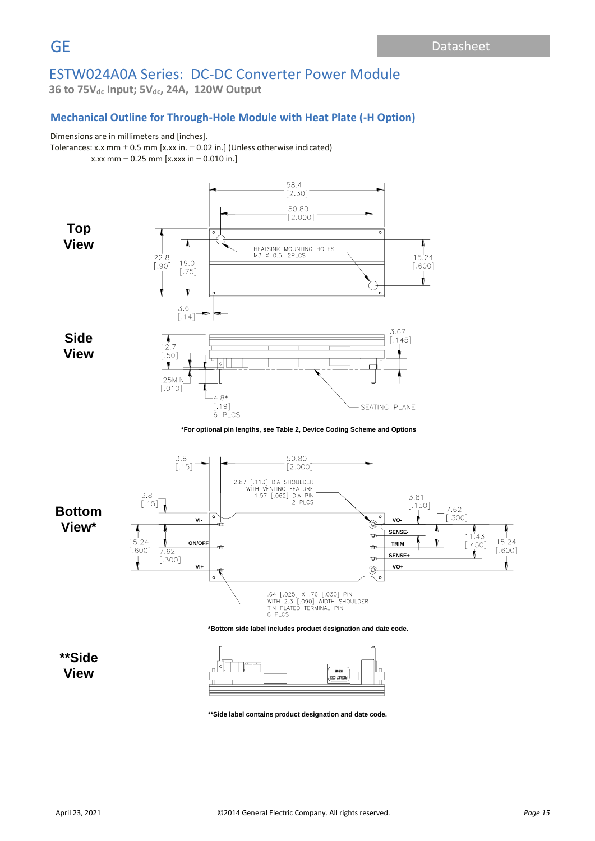**36 to 75Vdc Input; 5Vdc, 24A, 120W Output**

## **Mechanical Outline for Through-Hole Module with Heat Plate (-H Option)**

### Dimensions are in millimeters and [inches].

Tolerances: x.x mm  $\pm$  0.5 mm [x.xx in.  $\pm$  0.02 in.] (Unless otherwise indicated) x.xx mm  $\pm$  0.25 mm [x.xxx in  $\pm$  0.010 in.]



**\*\*Side label contains product designation and date code.**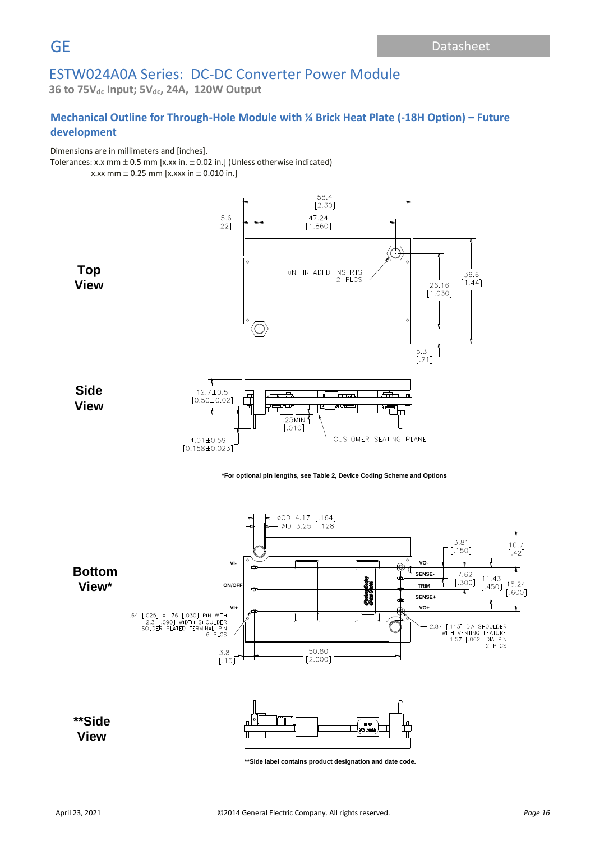**36 to 75Vdc Input; 5Vdc, 24A, 120W Output**

# **Mechanical Outline for Through-Hole Module with ¼ Brick Heat Plate (-18H Option) – Future development**

Dimensions are in millimeters and [inches].

Tolerances: x.x mm  $\pm$  0.5 mm [x.xx in.  $\pm$  0.02 in.] (Unless otherwise indicated)

x.xx mm  $\pm$  0.25 mm [x.xxx in  $\pm$  0.010 in.]



**\*For optional pin lengths, see Table 2, Device Coding Scheme and Options**

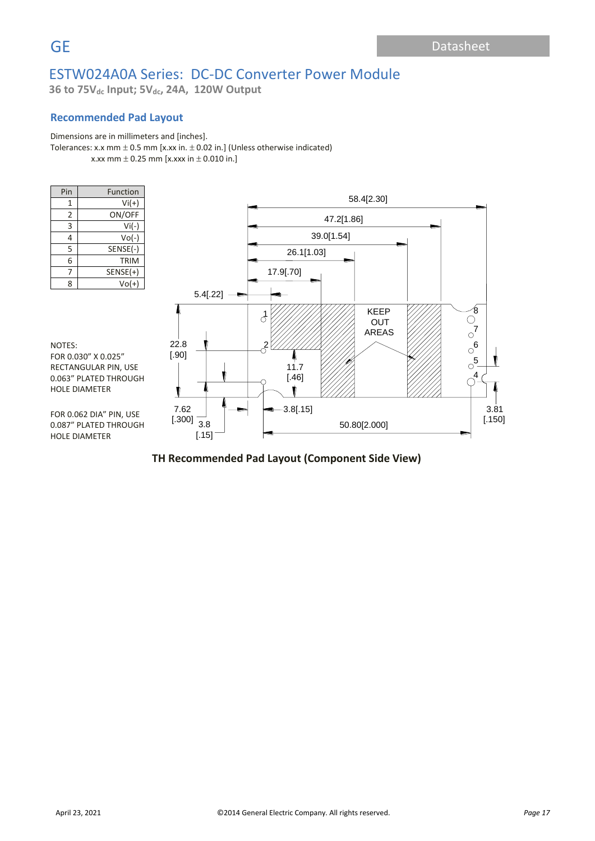**36 to 75Vdc Input; 5Vdc, 24A, 120W Output**

## **Recommended Pad Layout**

### Dimensions are in millimeters and [inches].

Tolerances: x.x mm  $\pm$  0.5 mm [x.xx in.  $\pm$  0.02 in.] (Unless otherwise indicated) x.xx mm  $\pm$  0.25 mm [x.xxx in  $\pm$  0.010 in.]

| Pin | Function   |
|-----|------------|
| 1   | $Vi(+)$    |
| 2   | ON/OFF     |
| 3   | $Vi(-)$    |
| 4   | $Vo(-)$    |
| 5   | SENSE(-)   |
| 6   | TRIM       |
| 7   | $SENSE(+)$ |
| 8   | $Vol(+)$   |



NOTES: FOR 0.030" X 0.025" RECTANGULAR PIN, USE 0.063" PLATED THROUGH HOLE DIAMETER

FOR 0.062 DIA" PIN, USE 0.087" PLATED THROUGH HOLE DIAMETER

# **TH Recommended Pad Layout (Component Side View)** TH Recommend Pad Layout (Component Side View)